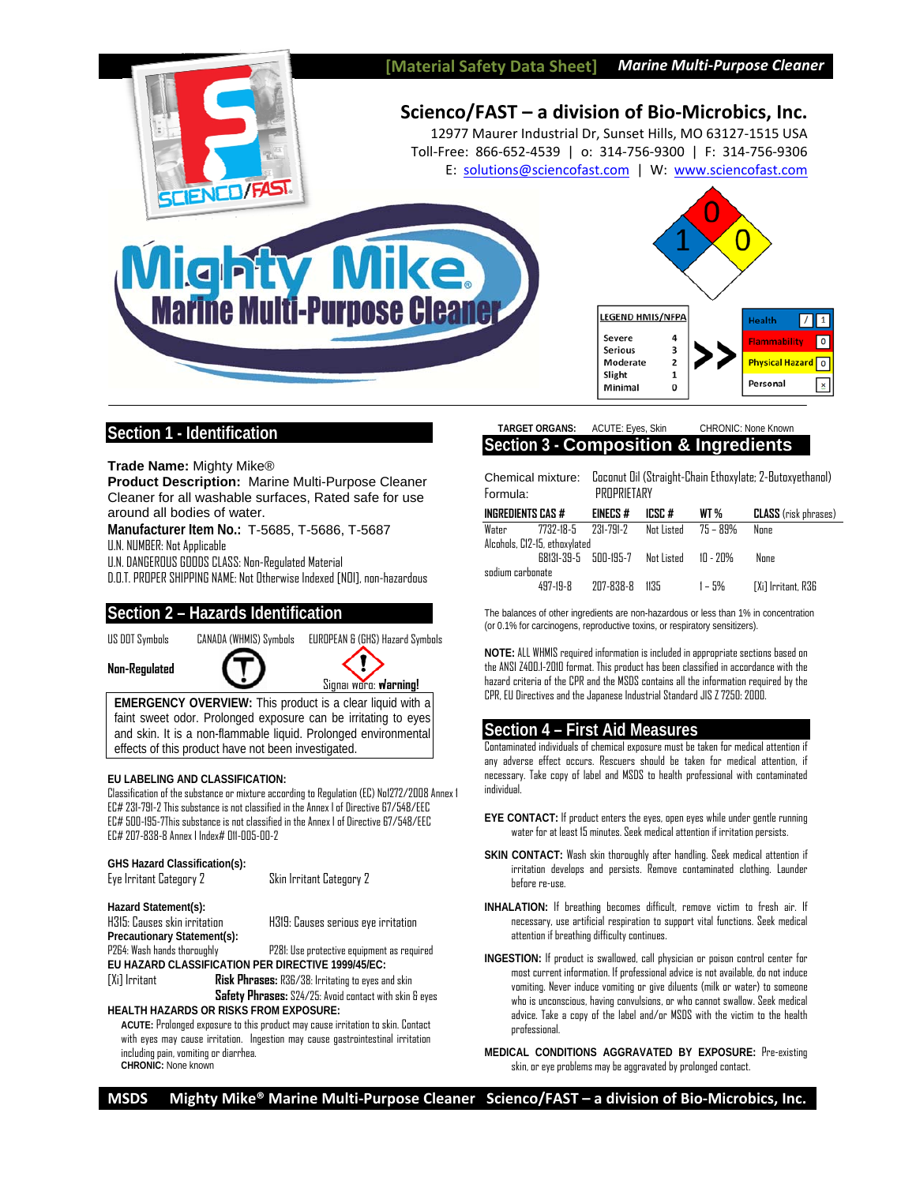

# **Section 1 - Identification**

**Trade Name:** Mighty Mike®

**Product Description:** Marine Multi-Purpose Cleaner Cleaner for all washable surfaces, Rated safe for use around all bodies of water.

**Manufacturer Item No.:** T-5685, T-5686, T-5687 U.N. NUMBER: Not Applicable

U.N. DANGEROUS GOODS CLASS: Non-Regulated Material

D.O.T. PROPER SHIPPING NAME: Not Otherwise Indexed [NOI], non-hazardous

# **Section 2 – Hazards Identification**

US DOT Symbols CANADA (WHMIS) Symbols EUROPEAN & (GHS) Hazard Symbols

**Non-Regulated** 





**EMERGENCY OVERVIEW:** This product is a clear liquid with a faint sweet odor. Prolonged exposure can be irritating to eyes and skin. It is a non-flammable liquid. Prolonged environmental effects of this product have not been investigated.

### **EU LABELING AND CLASSIFICATION:**

Classification of the substance or mixture according to Regulation (EC) No1272/2008 Annex 1 EC# 231-791-2 This substance is not classified in the Annex I of Directive 67/548/EEC EC# 500-195-7This substance is not classified in the Annex I of Directive 67/548/EEC EC# 207-838-8 Annex I Index# 011-005-00-2

| GHS Hazard Classification(s):                                                   |                                                          |  |  |  |  |
|---------------------------------------------------------------------------------|----------------------------------------------------------|--|--|--|--|
| Eye Irritant Category 2                                                         | Skin Irritant Category 2                                 |  |  |  |  |
| Hazard Statement(s):                                                            |                                                          |  |  |  |  |
| H315: Causes skin irritation                                                    | H319: Causes serious eye irritation                      |  |  |  |  |
| Precautionary Statement(s):                                                     |                                                          |  |  |  |  |
| P264: Wash hands thoroughly                                                     | P281: Use protective equipment as required               |  |  |  |  |
| EU HAZARD CLASSIFICATION PER DIRECTIVE 1999/45/EC:                              |                                                          |  |  |  |  |
| [Xi] Irritant                                                                   | <b>Risk Phrases:</b> R36/38: Irritating to eyes and skin |  |  |  |  |
| Safety Phrases: S24/25: Avoid contact with skin & eyes                          |                                                          |  |  |  |  |
| <b>HEALTH HAZARDS OR RISKS FROM EXPOSURE:</b>                                   |                                                          |  |  |  |  |
| ACLITE: Prolonged exposure to this product may cause irritation to skin Contact |                                                          |  |  |  |  |

**ACUTE:** Prolonged exposure to this product may cause irritation to skin. Contact with eyes may cause irritation. Ingestion may cause gastrointestinal irritation including pain, vomiting or diarrhea. **CHRONIC:** None known

## **TARGET ORGANS:** ACUTE: Eyes, Skin CHRONIC: None Known **Section 3 - Composition & Ingredients**

Chemical mixture: Coconut Oil (Straight-Chain Ethoxylate; 2-Butoxyethanol) Formula: PROPRIETARY

| INGREDIENTS CAS #             |          | <b>EINECS#</b>                  | ICSC #              | WT %     | <b>CLASS</b> (risk phrases) |
|-------------------------------|----------|---------------------------------|---------------------|----------|-----------------------------|
| Water                         |          |                                 | Nat Listed 75 – 89% |          | None                        |
| Alcohols, C12-15, ethoxylated |          |                                 |                     |          |                             |
|                               |          | 68131-39-5 500-195-7 Not Listed |                     | 10 - 20% | None                        |
| sodium carbonate              |          |                                 |                     |          |                             |
|                               | 497-19-8 | 207-838-8 1135                  |                     | 1 – 5%   | [Xi] Irritant, R36          |

The balances of other ingredients are non-hazardous or less than 1% in concentration (or 0.1% for carcinogens, reproductive toxins, or respiratory sensitizers).

**NOTE:** ALL WHMIS required information is included in appropriate sections based on the ANSI Z400.1-2010 format. This product has been classified in accordance with the hazard criteria of the CPR and the MSDS contains all the information required by the CPR, EU Directives and the Japanese Industrial Standard JIS Z 7250: 2000.

# **Section 4 – First Aid Measures**

Contaminated individuals of chemical exposure must be taken for medical attention if any adverse effect occurs. Rescuers should be taken for medical attention, if necessary. Take copy of label and MSDS to health professional with contaminated individual.

- **EYE CONTACT:** If product enters the eyes, open eyes while under gentle running water for at least 15 minutes. Seek medical attention if irritation persists.
- **SKIN CONTACT:** Wash skin thoroughly after handling. Seek medical attention if irritation develops and persists. Remove contaminated clothing. Launder before re-use.
- **INHALATION:** If breathing becomes difficult, remove victim to fresh air. If necessary, use artificial respiration to support vital functions. Seek medical attention if breathing difficulty continues.
- **INGESTION:** If product is swallowed, call physician or poison control center for most current information. If professional advice is not available, do not induce vomiting. Never induce vomiting or give diluents (milk or water) to someone who is unconscious, having convulsions, or who cannot swallow. Seek medical advice. Take a copy of the label and/or MSDS with the victim to the health professional.
- **MEDICAL CONDITIONS AGGRAVATED BY EXPOSURE:** Pre-existing skin, or eye problems may be aggravated by prolonged contact.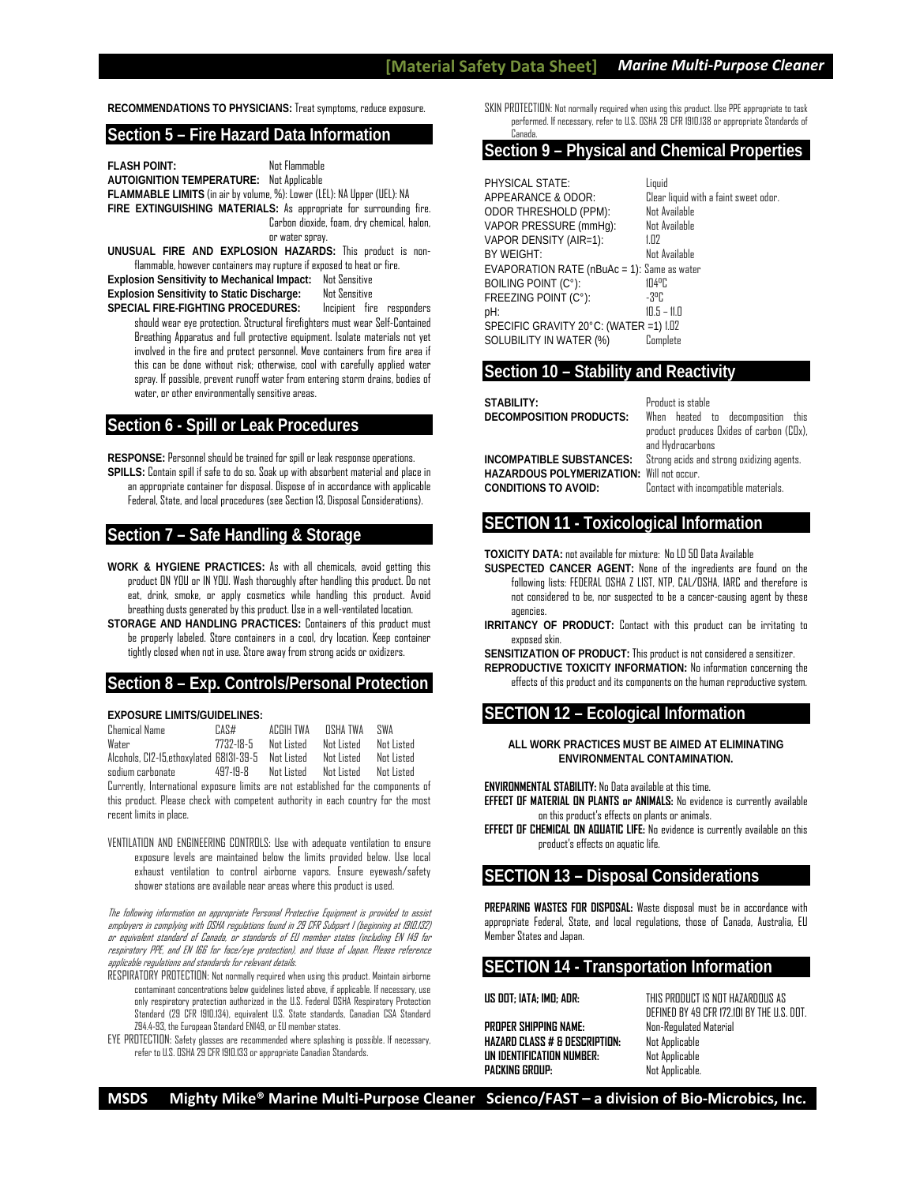**RECOMMENDATIONS TO PHYSICIANS:** Treat symptoms, reduce exposure.

## **Section 5 – Fire Hazard Data Information**

**FLASH POINT:** Not Flammable **AUTOIGNITION TEMPERATURE:** Not Applicable **FLAMMABLE LIMITS** (in air by volume, %): Lower (LEL): NA Upper (UEL): NA **FIRE EXTINGUISHING MATERIALS:** As appropriate for surrounding fire. Carbon dioxide, foam, dry chemical, halon, or water spray.

**UNUSUAL FIRE AND EXPLOSION HAZARDS:** This product is nonflammable, however containers may rupture if exposed to heat or fire. **Explosion Sensitivity to Mechanical Impact:** Not Sensitive **Explosion Sensitivity to Static Discharge:** Not Sensitive

SPECIAL FIRE-FIGHTING PROCEDURES: Incipient fire responders should wear eye protection. Structural firefighters must wear Self-Contained Breathing Apparatus and full protective equipment. Isolate materials not yet involved in the fire and protect personnel. Move containers from fire area if this can be done without risk; otherwise, cool with carefully applied water spray. If possible, prevent runoff water from entering storm drains, bodies of water, or other environmentally sensitive areas.

## **Section 6 - Spill or Leak Procedures**

**RESPONSE:** Personnel should be trained for spill or leak response operations.

**SPILLS:** Contain spill if safe to do so. Soak up with absorbent material and place in an appropriate container for disposal. Dispose of in accordance with applicable Federal, State, and local procedures (see Section 13, Disposal Considerations).

# **Section 7 – Safe Handling & Storage**

- **WORK & HYGIENE PRACTICES:** As with all chemicals, avoid getting this product ON YOU or IN YOU. Wash thoroughly after handling this product. Do not eat, drink, smoke, or apply cosmetics while handling this product. Avoid breathing dusts generated by this product. Use in a well-ventilated location.
- **STORAGE AND HANDLING PRACTICES:** Containers of this product must be properly labeled. Store containers in a cool, dry location. Keep container tightly closed when not in use. Store away from strong acids or oxidizers.

# **Section 8 – Exp. Controls/Personal Protection**

#### **EXPOSURE LIMITS/GUIDELINES:**

| <b>Chemical Name</b>                               | CAS#      | ACGIH TWA  | NSHA TWA   | SWA        |
|----------------------------------------------------|-----------|------------|------------|------------|
| Water                                              | 7737-18-5 | Nnt Listed | Nnt listed | Nnt listed |
| Alcohols, C12-15.ethoxylated 68131-39-5 Not Listed |           |            | Nnt Listed | Not Listed |
| sodium carbonate                                   | 497-19-8  | Nnt listed | Not Listed | Nnt listed |

Currently, International exposure limits are not established for the components of this product. Please check with competent authority in each country for the most recent limits in place.

VENTILATION AND ENGINEERING CONTROLS: Use with adequate ventilation to ensure exposure levels are maintained below the limits provided below. Use local exhaust ventilation to control airborne vapors. Ensure eyewash/safety shower stations are available near areas where this product is used.

The following information on appropriate Personal Protective Equipment is provided to assist employers in complying with OSHA regulations found in 29 CFR Subpart I (beginning at 1910.132) or equivalent standard of Canada, or standards of EU member states (including EN 149 for respiratory PPE, and EN 166 for face/eye protection), and those of Japan. Please reference applicable regulations and standards for relevant details.

RESPIRATORY PROTECTION: Not normally required when using this product. Maintain airborne contaminant concentrations below guidelines listed above, if applicable. If necessary, use only respiratory protection authorized in the U.S. Federal OSHA Respiratory Protection Standard (29 CFR 1910.134), equivalent U.S. State standards, Canadian CSA Standard Z94.4-93, the European Standard EN149, or EU member states.

EYE PROTECTION: Safety glasses are recommended where splashing is possible. If necessary, refer to U.S. OSHA 29 CFR 1910.133 or appropriate Canadian Standards.

SKIN PROTECTION: Not normally required when using this product. Use PPE appropriate to task performed. If necessary, refer to U.S. OSHA 29 CFR 1910.138 or appropriate Standards of Canada.

## **Section 9 – Physical and Chemical Properties**

PHYSICAL STATE:<br>APPEARANCE & ODOR: Clear ODOR THRESHOLD (PPM): Not Available VAPOR PRESSURE (mmHg): Not Available VAPOR DENSITY (AIR=1): 1.02<br>RY WEIGHT: 1.000 Not Available **BY WEIGHT:** EVAPORATION RATE (nBuAc = 1): Same as water<br>BOILING POINT (C°) BOILING POINT (C°): 104°C<br>FREEZING POINT (C°): 103°C FREEZING POINT (C°): pH: 10.5 – 11.0 SPECIFIC GRAVITY 20°C: (WATER =1) 1.02 SOLUBILITY IN WATER (%) Complete

Clear liquid with a faint sweet odor.

## **Section 10 – Stability and Reactivity**

| STABILITY:<br>DECOMPOSITION PRODUCTS:                                                                       | Product is stable<br>When heated to decomposition this<br>product produces Oxides of carbon (COx),<br>and Hydrocarbons |
|-------------------------------------------------------------------------------------------------------------|------------------------------------------------------------------------------------------------------------------------|
| INCOMPATIBLE SUBSTANCES:<br><b>HAZARDOUS POLYMERIZATION: Will not occur.</b><br><b>CONDITIONS TO AVOID:</b> | Strong acids and strong oxidizing agents.<br>Contact with incompatible materials.                                      |

## **SECTION 11 - Toxicological Information**

**TOXICITY DATA:** not available for mixture: No LD 50 Data Available

- **SUSPECTED CANCER AGENT:** None of the ingredients are found on the following lists: FEDERAL OSHA Z LIST, NTP, CAL/OSHA, IARC and therefore is not considered to be, nor suspected to be a cancer-causing agent by these agencies.
- **IRRITANCY OF PRODUCT:** Contact with this product can be irritating to exnosed skin.

**SENSITIZATION OF PRODUCT:** This product is not considered a sensitizer.

**REPRODUCTIVE TOXICITY INFORMATION:** No information concerning the effects of this product and its components on the human reproductive system.

# **SECTION 12 – Ecological Information**

**ALL WORK PRACTICES MUST BE AIMED AT ELIMINATING ENVIRONMENTAL CONTAMINATION.** 

**ENVIRONMENTAL STABILITY:** No Data available at this time.

- **EFFECT OF MATERIAL ON PLANTS or ANIMALS:** No evidence is currently available on this product's effects on plants or animals.
- **EFFECT OF CHEMICAL ON AQUATIC LIFE:** No evidence is currently available on this product's effects on aquatic life.

## **SECTION 13 – Disposal Considerations**

**PREPARING WASTES FOR DISPOSAL:** Waste disposal must be in accordance with appropriate Federal, State, and local regulations, those of Canada, Australia, EU Member States and Janan.

# **SECTION 14 - Transportation Information**

**PROPER SHIPPING NAME:** Non-Regulated Material **HAZARD CLASS # & DESCRIPTION:** Not Applicable **UN IDENTIFICATION NUMBER:** Not Applicable **PACKING GROUP:** Not Applicable.

**US DOT; IATA; IMO; ADR:** THIS PRODUCT IS NOT HAZARDOUS AS DEFINED BY 49 CFR 172.101 BY THE U.S. DOT.